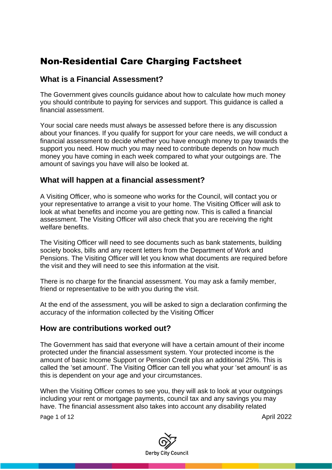# Non-Residential Care Charging Factsheet

## **What is a Financial Assessment?**

The Government gives councils guidance about how to calculate how much money you should contribute to paying for services and support. This guidance is called a financial assessment.

Your social care needs must always be assessed before there is any discussion about your finances. If you qualify for support for your care needs, we will conduct a financial assessment to decide whether you have enough money to pay towards the support you need. How much you may need to contribute depends on how much money you have coming in each week compared to what your outgoings are. The amount of savings you have will also be looked at.

## **What will happen at a financial assessment?**

A Visiting Officer, who is someone who works for the Council, will contact you or your representative to arrange a visit to your home. The Visiting Officer will ask to look at what benefits and income you are getting now. This is called a financial assessment. The Visiting Officer will also check that you are receiving the right welfare benefits.

The Visiting Officer will need to see documents such as bank statements, building society books, bills and any recent letters from the Department of Work and Pensions. The Visiting Officer will let you know what documents are required before the visit and they will need to see this information at the visit.

There is no charge for the financial assessment. You may ask a family member, friend or representative to be with you during the visit.

At the end of the assessment, you will be asked to sign a declaration confirming the accuracy of the information collected by the Visiting Officer

## **How are contributions worked out?**

The Government has said that everyone will have a certain amount of their income protected under the financial assessment system. Your protected income is the amount of basic Income Support or Pension Credit plus an additional 25%. This is called the 'set amount'. The Visiting Officer can tell you what your 'set amount' is as this is dependent on your age and your circumstances.

When the Visiting Officer comes to see you, they will ask to look at your outgoings including your rent or mortgage payments, council tax and any savings you may have. The financial assessment also takes into account any disability related

Page 1 of 12 April 2022

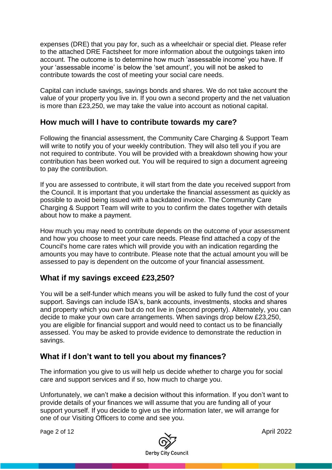expenses (DRE) that you pay for, such as a wheelchair or special diet. Please refer to the attached DRE Factsheet for more information about the outgoings taken into account. The outcome is to determine how much 'assessable income' you have. If your 'assessable income' is below the 'set amount', you will not be asked to contribute towards the cost of meeting your social care needs.

Capital can include savings, savings bonds and shares. We do not take account the value of your property you live in. If you own a second property and the net valuation is more than £23,250, we may take the value into account as notional capital.

# **How much will I have to contribute towards my care?**

Following the financial assessment, the Community Care Charging & Support Team will write to notify you of your weekly contribution. They will also tell you if you are not required to contribute. You will be provided with a breakdown showing how your contribution has been worked out. You will be required to sign a document agreeing to pay the contribution.

If you are assessed to contribute, it will start from the date you received support from the Council. It is important that you undertake the financial assessment as quickly as possible to avoid being issued with a backdated invoice. The Community Care Charging & Support Team will write to you to confirm the dates together with details about how to make a payment.

How much you may need to contribute depends on the outcome of your assessment and how you choose to meet your care needs. Please find attached a copy of the Council's home care rates which will provide you with an indication regarding the amounts you may have to contribute. Please note that the actual amount you will be assessed to pay is dependent on the outcome of your financial assessment.

# **What if my savings exceed £23,250?**

You will be a self-funder which means you will be asked to fully fund the cost of your support. Savings can include ISA's, bank accounts, investments, stocks and shares and property which you own but do not live in (second property). Alternately, you can decide to make your own care arrangements. When savings drop below £23,250, you are eligible for financial support and would need to contact us to be financially assessed. You may be asked to provide evidence to demonstrate the reduction in savings.

# **What if I don't want to tell you about my finances?**

The information you give to us will help us decide whether to charge you for social care and support services and if so, how much to charge you.

Unfortunately, we can't make a decision without this information. If you don't want to provide details of your finances we will assume that you are funding all of your support yourself. If you decide to give us the information later, we will arrange for one of our Visiting Officers to come and see you.

Page 2 of 12 April 2022

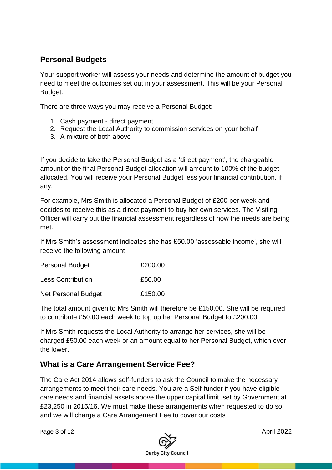# **Personal Budgets**

Your support worker will assess your needs and determine the amount of budget you need to meet the outcomes set out in your assessment. This will be your Personal Budget.

There are three ways you may receive a Personal Budget:

- 1. Cash payment direct payment
- 2. Request the Local Authority to commission services on your behalf
- 3. A mixture of both above

If you decide to take the Personal Budget as a 'direct payment', the chargeable amount of the final Personal Budget allocation will amount to 100% of the budget allocated. You will receive your Personal Budget less your financial contribution, if any.

For example, Mrs Smith is allocated a Personal Budget of £200 per week and decides to receive this as a direct payment to buy her own services. The Visiting Officer will carry out the financial assessment regardless of how the needs are being met.

If Mrs Smith's assessment indicates she has £50.00 'assessable income', she will receive the following amount

| <b>Personal Budget</b>     | £200.00 |
|----------------------------|---------|
| <b>Less Contribution</b>   | £50.00  |
| <b>Net Personal Budget</b> | £150.00 |

The total amount given to Mrs Smith will therefore be £150.00. She will be required to contribute £50.00 each week to top up her Personal Budget to £200.00

If Mrs Smith requests the Local Authority to arrange her services, she will be charged £50.00 each week or an amount equal to her Personal Budget, which ever the lower.

# **What is a Care Arrangement Service Fee?**

The Care Act 2014 allows self-funders to ask the Council to make the necessary arrangements to meet their care needs. You are a Self-funder if you have eligible care needs and financial assets above the upper capital limit, set by Government at £23,250 in 2015/16. We must make these arrangements when requested to do so, and we will charge a Care Arrangement Fee to cover our costs

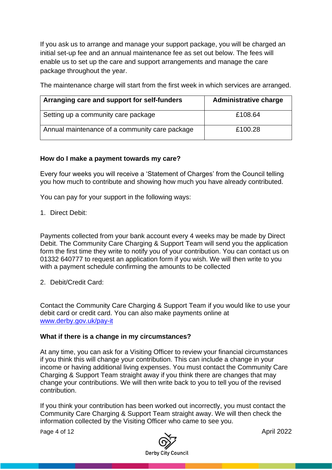If you ask us to arrange and manage your support package, you will be charged an initial set-up fee and an annual maintenance fee as set out below. The fees will enable us to set up the care and support arrangements and manage the care package throughout the year.

The maintenance charge will start from the first week in which services are arranged.

| Arranging care and support for self-funders    | <b>Administrative charge</b> |
|------------------------------------------------|------------------------------|
| Setting up a community care package            | £108.64                      |
| Annual maintenance of a community care package | £100.28                      |

## **How do I make a payment towards my care?**

Every four weeks you will receive a 'Statement of Charges' from the Council telling you how much to contribute and showing how much you have already contributed.

You can pay for your support in the following ways:

1. Direct Debit:

Payments collected from your bank account every 4 weeks may be made by Direct Debit. The Community Care Charging & Support Team will send you the application form the first time they write to notify you of your contribution. You can contact us on 01332 640777 to request an application form if you wish. We will then write to you with a payment schedule confirming the amounts to be collected

2. Debit/Credit Card:

Contact the Community Care Charging & Support Team if you would like to use your debit card or credit card. You can also make payments online at [www.derby.gov.uk/pay-it](http://www.derby.gov.uk/pay-it)

#### **What if there is a change in my circumstances?**

At any time, you can ask for a Visiting Officer to review your financial circumstances if you think this will change your contribution. This can include a change in your income or having additional living expenses. You must contact the Community Care Charging & Support Team straight away if you think there are changes that may change your contributions. We will then write back to you to tell you of the revised contribution.

If you think your contribution has been worked out incorrectly, you must contact the Community Care Charging & Support Team straight away. We will then check the information collected by the Visiting Officer who came to see you.

Page 4 of 12 April 2022

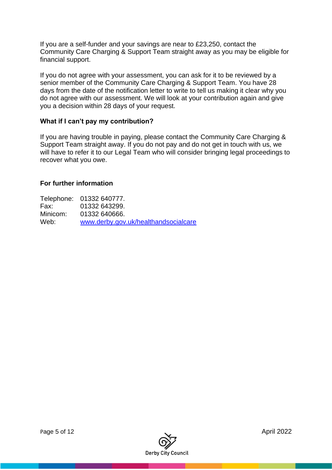If you are a self-funder and your savings are near to £23,250, contact the Community Care Charging & Support Team straight away as you may be eligible for financial support.

If you do not agree with your assessment, you can ask for it to be reviewed by a senior member of the Community Care Charging & Support Team. You have 28 days from the date of the notification letter to write to tell us making it clear why you do not agree with our assessment. We will look at your contribution again and give you a decision within 28 days of your request.

#### **What if I can't pay my contribution?**

If you are having trouble in paying, please contact the Community Care Charging & Support Team straight away. If you do not pay and do not get in touch with us, we will have to refer it to our Legal Team who will consider bringing legal proceedings to recover what you owe.

#### **For further information**

Telephone: 01332 640777. Fax: 01332 643299. Hax: 01332 640666.<br>Minicom: 01332 640666. [www.derby.gov.uk/healthandsocialcare](http://www.derby.gov.uk/healthandsocialcare)

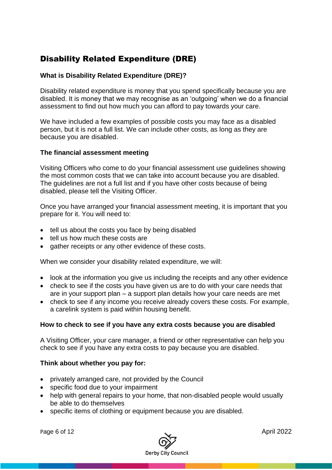# Disability Related Expenditure (DRE)

#### **What is Disability Related Expenditure (DRE)?**

Disability related expenditure is money that you spend specifically because you are disabled. It is money that we may recognise as an 'outgoing' when we do a financial assessment to find out how much you can afford to pay towards your care.

We have included a few examples of possible costs you may face as a disabled person, but it is not a full list. We can include other costs, as long as they are because you are disabled.

#### **The financial assessment meeting**

Visiting Officers who come to do your financial assessment use guidelines showing the most common costs that we can take into account because you are disabled. The guidelines are not a full list and if you have other costs because of being disabled, please tell the Visiting Officer.

Once you have arranged your financial assessment meeting, it is important that you prepare for it. You will need to:

- tell us about the costs you face by being disabled
- tell us how much these costs are
- gather receipts or any other evidence of these costs.

When we consider your disability related expenditure, we will:

- look at the information you give us including the receipts and any other evidence
- check to see if the costs you have given us are to do with your care needs that are in your support plan – a support plan details how your care needs are met
- check to see if any income you receive already covers these costs. For example, a carelink system is paid within housing benefit.

#### **How to check to see if you have any extra costs because you are disabled**

A Visiting Officer, your care manager, a friend or other representative can help you check to see if you have any extra costs to pay because you are disabled.

#### **Think about whether you pay for:**

- privately arranged care, not provided by the Council
- specific food due to your impairment
- help with general repairs to your home, that non-disabled people would usually be able to do themselves
- specific items of clothing or equipment because you are disabled.

Page 6 of 12 **April 2022** 

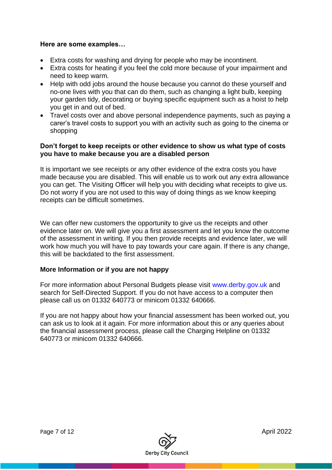#### **Here are some examples…**

- Extra costs for washing and drying for people who may be incontinent.
- Extra costs for heating if you feel the cold more because of your impairment and need to keep warm.
- Help with odd jobs around the house because you cannot do these yourself and no-one lives with you that can do them, such as changing a light bulb, keeping your garden tidy, decorating or buying specific equipment such as a hoist to help you get in and out of bed.
- Travel costs over and above personal independence payments, such as paying a carer's travel costs to support you with an activity such as going to the cinema or shopping

#### **Don't forget to keep receipts or other evidence to show us what type of costs you have to make because you are a disabled person**

It is important we see receipts or any other evidence of the extra costs you have made because you are disabled. This will enable us to work out any extra allowance you can get. The Visiting Officer will help you with deciding what receipts to give us. Do not worry if you are not used to this way of doing things as we know keeping receipts can be difficult sometimes.

We can offer new customers the opportunity to give us the receipts and other evidence later on. We will give you a first assessment and let you know the outcome of the assessment in writing. If you then provide receipts and evidence later, we will work how much you will have to pay towards your care again. If there is any change, this will be backdated to the first assessment.

#### **More Information or if you are not happy**

For more information about Personal Budgets please visit www.derby.gov.uk and search for Self-Directed Support. If you do not have access to a computer then please call us on 01332 640773 or minicom 01332 640666.

If you are not happy about how your financial assessment has been worked out, you can ask us to look at it again. For more information about this or any queries about the financial assessment process, please call the Charging Helpline on 01332 640773 or minicom 01332 640666.

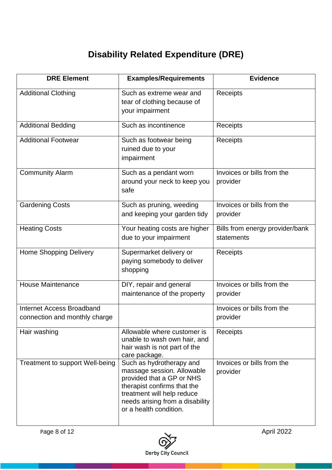# **Disability Related Expenditure (DRE)**

| <b>DRE Element</b>                                         | <b>Examples/Requirements</b>                                                                                                                                                                                  | <b>Evidence</b>                               |
|------------------------------------------------------------|---------------------------------------------------------------------------------------------------------------------------------------------------------------------------------------------------------------|-----------------------------------------------|
| <b>Additional Clothing</b>                                 | Such as extreme wear and<br>tear of clothing because of<br>your impairment                                                                                                                                    | Receipts                                      |
| <b>Additional Bedding</b>                                  | Such as incontinence                                                                                                                                                                                          | Receipts                                      |
| <b>Additional Footwear</b>                                 | Such as footwear being<br>ruined due to your<br>impairment                                                                                                                                                    | Receipts                                      |
| <b>Community Alarm</b>                                     | Such as a pendant worn<br>around your neck to keep you<br>safe                                                                                                                                                | Invoices or bills from the<br>provider        |
| <b>Gardening Costs</b>                                     | Such as pruning, weeding<br>and keeping your garden tidy                                                                                                                                                      | Invoices or bills from the<br>provider        |
| <b>Heating Costs</b>                                       | Your heating costs are higher<br>due to your impairment                                                                                                                                                       | Bills from energy provider/bank<br>statements |
| <b>Home Shopping Delivery</b>                              | Supermarket delivery or<br>paying somebody to deliver<br>shopping                                                                                                                                             | <b>Receipts</b>                               |
| <b>House Maintenance</b>                                   | DIY, repair and general<br>maintenance of the property                                                                                                                                                        | Invoices or bills from the<br>provider        |
| Internet Access Broadband<br>connection and monthly charge |                                                                                                                                                                                                               | Invoices or bills from the<br>provider        |
| Hair washing                                               | Allowable where customer is<br>unable to wash own hair, and<br>hair wash is not part of the<br>care package.                                                                                                  | Receipts                                      |
| Treatment to support Well-being                            | Such as hydrotherapy and<br>massage session. Allowable<br>provided that a GP or NHS<br>therapist confirms that the<br>treatment will help reduce<br>needs arising from a disability<br>or a health condition. | Invoices or bills from the<br>provider        |

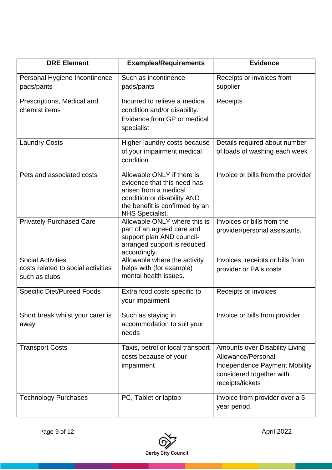| <b>DRE Element</b>                                                              | <b>Examples/Requirements</b>                                                                                                                                                  | <b>Evidence</b>                                                                                                                                     |
|---------------------------------------------------------------------------------|-------------------------------------------------------------------------------------------------------------------------------------------------------------------------------|-----------------------------------------------------------------------------------------------------------------------------------------------------|
| Personal Hygiene Incontinence<br>pads/pants                                     | Such as incontinence<br>pads/pants                                                                                                                                            | Receipts or invoices from<br>supplier                                                                                                               |
| Prescriptions, Medical and<br>chemist items                                     | Incurred to relieve a medical<br>condition and/or disability.<br>Evidence from GP or medical<br>specialist                                                                    | Receipts                                                                                                                                            |
| <b>Laundry Costs</b>                                                            | Higher laundry costs because<br>of your impairment medical<br>condition                                                                                                       | Details required about number<br>of loads of washing each week                                                                                      |
| Pets and associated costs                                                       | Allowable ONLY if there is<br>evidence that this need has<br>arisen from a medical<br>condition or disability AND<br>the benefit is confirmed by an<br><b>NHS Specialist.</b> | Invoice or bills from the provider                                                                                                                  |
| <b>Privately Purchased Care</b>                                                 | Allowable ONLY where this is<br>part of an agreed care and<br>support plan AND council-<br>arranged support is reduced<br>accordingly.                                        | Invoices or bills from the<br>provider/personal assistants.                                                                                         |
| <b>Social Activities</b><br>costs related to social activities<br>such as clubs | Allowable where the activity<br>helps with (for example)<br>mental health issues.                                                                                             | Invoices, receipts or bills from<br>provider or PA's costs                                                                                          |
| <b>Specific Diet/Pureed Foods</b>                                               | Extra food costs specific to<br>your impairment                                                                                                                               | Receipts or invoices                                                                                                                                |
| Short break whilst your carer is<br>away                                        | Such as staying in<br>accommodation to suit your<br>needs                                                                                                                     | Invoice or bills from provider                                                                                                                      |
| <b>Transport Costs</b>                                                          | Taxis, petrol or local transport<br>costs because of your<br>impairment                                                                                                       | <b>Amounts over Disability Living</b><br>Allowance/Personal<br><b>Independence Payment Mobility</b><br>considered together with<br>receipts/tickets |
| <b>Technology Purchases</b>                                                     | PC, Tablet or laptop                                                                                                                                                          | Invoice from provider over a 5<br>year period.                                                                                                      |



Page 9 of 12  $\sim$  April 2022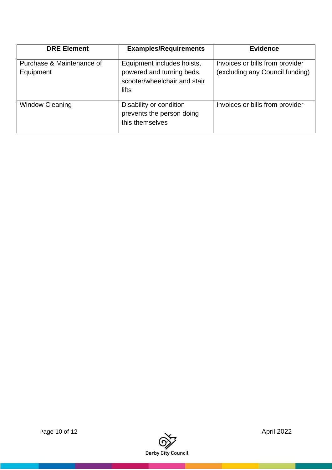| <b>DRE Element</b>                     | <b>Examples/Requirements</b>                                                                     | <b>Evidence</b>                                                    |
|----------------------------------------|--------------------------------------------------------------------------------------------------|--------------------------------------------------------------------|
| Purchase & Maintenance of<br>Equipment | Equipment includes hoists,<br>powered and turning beds,<br>scooter/wheelchair and stair<br>lifts | Invoices or bills from provider<br>(excluding any Council funding) |
| <b>Window Cleaning</b>                 | Disability or condition<br>prevents the person doing<br>this themselves                          | Invoices or bills from provider                                    |



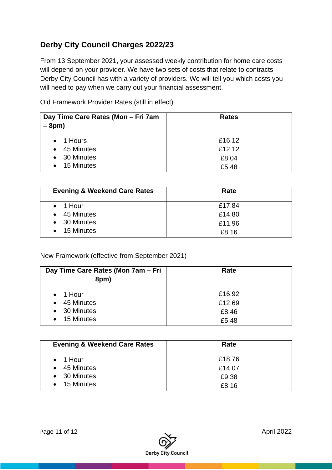# **Derby City Council Charges 2022/23**

From 13 September 2021, your assessed weekly contribution for home care costs will depend on your provider. We have two sets of costs that relate to contracts Derby City Council has with a variety of providers. We will tell you which costs you will need to pay when we carry out your financial assessment.

Old Framework Provider Rates (still in effect)

| Day Time Care Rates (Mon - Fri 7am<br>$-8pm)$ | <b>Rates</b> |
|-----------------------------------------------|--------------|
| $\bullet$ 1 Hours                             | £16.12       |
| 45 Minutes<br>$\bullet$                       | £12.12       |
| 30 Minutes<br>$\bullet$                       | £8.04        |
| 15 Minutes<br>$\bullet$                       | £5.48        |

| <b>Evening &amp; Weekend Care Rates</b> | Rate   |
|-----------------------------------------|--------|
| $\bullet$ 1 Hour                        | £17.84 |
| $\bullet$ 45 Minutes                    | £14.80 |
| • 30 Minutes                            | £11.96 |
| $\bullet$ 15 Minutes                    | £8.16  |

New Framework (effective from September 2021)

| Day Time Care Rates (Mon 7am – Fri<br>8pm) | Rate   |
|--------------------------------------------|--------|
| $\bullet$ 1 Hour                           | £16.92 |
| 45 Minutes<br>$\bullet$                    | £12.69 |
| • 30 Minutes                               | £8.46  |
| 15 Minutes<br>$\bullet$                    | £5.48  |

| <b>Evening &amp; Weekend Care Rates</b> | Rate   |
|-----------------------------------------|--------|
| $\bullet$ 1 Hour                        | £18.76 |
| 45 Minutes<br>$\bullet$                 | £14.07 |
| • 30 Minutes                            | £9.38  |
| $\bullet$ 15 Minutes                    | £8.16  |